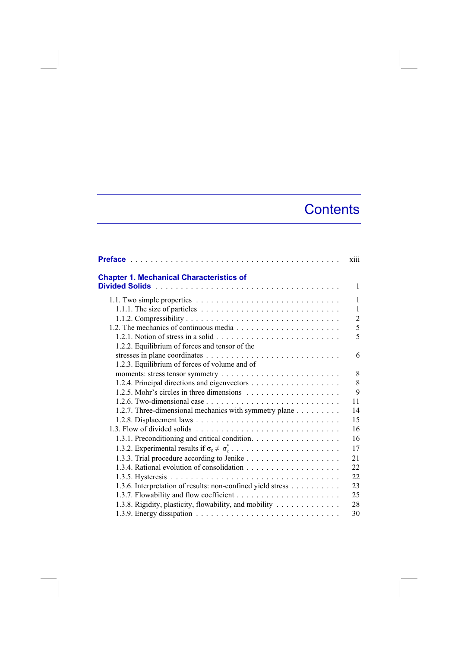## **Contents**

|                                                                                                      | xiii           |
|------------------------------------------------------------------------------------------------------|----------------|
| <b>Chapter 1. Mechanical Characteristics of</b>                                                      |                |
|                                                                                                      | 1              |
|                                                                                                      | 1              |
| 1.1.1. The size of particles $\ldots \ldots \ldots \ldots \ldots \ldots \ldots \ldots \ldots \ldots$ | $\mathbf{1}$   |
|                                                                                                      | $\overline{2}$ |
|                                                                                                      | 5              |
|                                                                                                      | 5              |
| 1.2.2. Equilibrium of forces and tensor of the                                                       |                |
|                                                                                                      | 6              |
| 1.2.3. Equilibrium of forces of volume and of                                                        |                |
|                                                                                                      | 8              |
|                                                                                                      | 8              |
|                                                                                                      | 9              |
|                                                                                                      | 11             |
| 1.2.7. Three-dimensional mechanics with symmetry plane                                               | 14             |
|                                                                                                      | 15             |
|                                                                                                      | 16             |
| 1.3.1. Preconditioning and critical condition.                                                       | 16             |
|                                                                                                      | 17             |
|                                                                                                      | 21             |
|                                                                                                      | 22             |
|                                                                                                      | 22             |
| 1.3.6. Interpretation of results: non-confined yield stress                                          | 23             |
|                                                                                                      | 25             |
| 1.3.8. Rigidity, plasticity, flowability, and mobility                                               | 28             |
|                                                                                                      | 30             |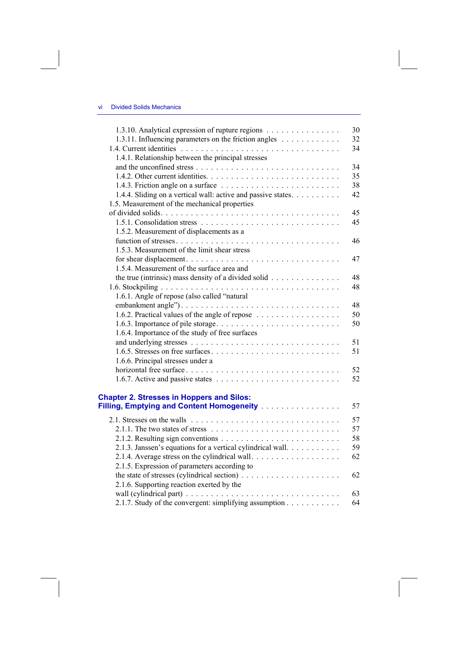| 1.3.10. Analytical expression of rupture regions                                                 | 30 |
|--------------------------------------------------------------------------------------------------|----|
| 1.3.11. Influencing parameters on the friction angles                                            | 32 |
|                                                                                                  | 34 |
| 1.4.1. Relationship between the principal stresses                                               |    |
|                                                                                                  | 34 |
|                                                                                                  | 35 |
| 1.4.3. Friction angle on a surface $\ldots \ldots \ldots \ldots \ldots \ldots \ldots$            | 38 |
| 1.4.4. Sliding on a vertical wall: active and passive states.                                    | 42 |
| 1.5. Measurement of the mechanical properties                                                    |    |
|                                                                                                  | 45 |
|                                                                                                  | 45 |
| 1.5.2. Measurement of displacements as a                                                         |    |
|                                                                                                  | 46 |
| 1.5.3. Measurement of the limit shear stress                                                     |    |
|                                                                                                  | 47 |
| 1.5.4. Measurement of the surface area and                                                       |    |
| the true (intrinsic) mass density of a divided solid                                             | 48 |
|                                                                                                  | 48 |
| 1.6.1. Angle of repose (also called "natural"                                                    |    |
|                                                                                                  | 48 |
| 1.6.2. Practical values of the angle of repose                                                   | 50 |
|                                                                                                  | 50 |
| 1.6.4. Importance of the study of free surfaces                                                  |    |
|                                                                                                  | 51 |
|                                                                                                  | 51 |
| 1.6.6. Principal stresses under a                                                                |    |
|                                                                                                  | 52 |
|                                                                                                  | 52 |
|                                                                                                  |    |
| <b>Chapter 2. Stresses in Hoppers and Silos:</b>                                                 |    |
| Filling, Emptying and Content Homogeneity                                                        | 57 |
|                                                                                                  | 57 |
| 2.1.1. The two states of stress $\ldots \ldots \ldots \ldots \ldots \ldots \ldots \ldots \ldots$ | 57 |
|                                                                                                  | 58 |
| 2.1.3. Janssen's equations for a vertical cylindrical wall.                                      | 59 |
| 2.1.4. Average stress on the cylindrical wall                                                    | 62 |
| 2.1.5. Expression of parameters according to                                                     |    |
|                                                                                                  | 62 |
| 2.1.6. Supporting reaction exerted by the                                                        |    |
|                                                                                                  | 63 |
| 2.1.7. Study of the convergent: simplifying assumption                                           | 64 |
|                                                                                                  |    |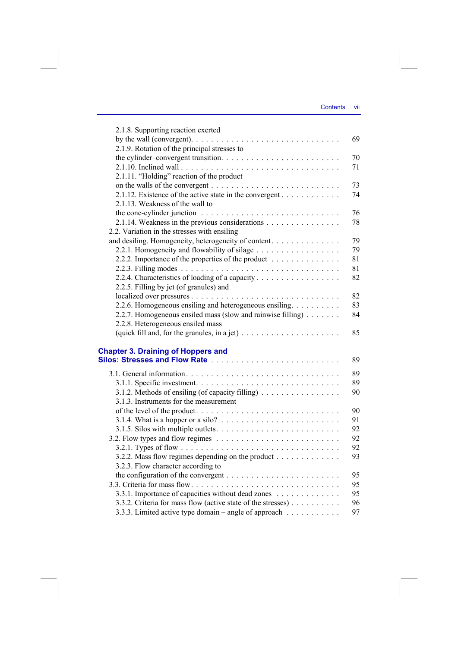| 2.1.8. Supporting reaction exerted                                                                |    |
|---------------------------------------------------------------------------------------------------|----|
| by the wall (convergent). $\ldots \ldots \ldots \ldots \ldots \ldots \ldots \ldots \ldots \ldots$ | 69 |
| 2.1.9. Rotation of the principal stresses to                                                      |    |
|                                                                                                   | 70 |
|                                                                                                   | 71 |
| 2.1.11. "Holding" reaction of the product                                                         |    |
|                                                                                                   | 73 |
| 2.1.12. Existence of the active state in the convergent $\dots \dots \dots$                       | 74 |
| 2.1.13. Weakness of the wall to                                                                   |    |
|                                                                                                   | 76 |
| 2.1.14. Weakness in the previous considerations                                                   | 78 |
| 2.2. Variation in the stresses with ensiling                                                      |    |
| and desiling. Homogeneity, heterogeneity of content.                                              | 79 |
| 2.2.1. Homogeneity and flowability of silage                                                      | 79 |
| 2.2.2. Importance of the properties of the product                                                | 81 |
|                                                                                                   | 81 |
| 2.2.4. Characteristics of loading of a capacity                                                   | 82 |
| 2.2.5. Filling by jet (of granules) and                                                           |    |
|                                                                                                   | 82 |
| 2.2.6. Homogeneous ensiling and heterogeneous ensiling.                                           | 83 |
| 2.2.7. Homogeneous ensiled mass (slow and rainwise filling)                                       | 84 |
| 2.2.8. Heterogeneous ensiled mass                                                                 |    |
| (quick fill and, for the granules, in a jet) $\dots \dots \dots \dots \dots \dots \dots$          | 85 |
|                                                                                                   |    |
| <b>Chapter 3. Draining of Hoppers and</b>                                                         |    |
|                                                                                                   | 89 |
|                                                                                                   | 89 |
|                                                                                                   | 89 |
| 3.1.2. Methods of ensiling (of capacity filling) $\dots \dots \dots \dots \dots$                  | 90 |
| 3.1.3. Instruments for the measurement                                                            |    |
|                                                                                                   | 90 |
|                                                                                                   | 91 |
|                                                                                                   | 92 |
|                                                                                                   | 92 |
|                                                                                                   | 92 |
| 3.2.2. Mass flow regimes depending on the product                                                 | 93 |
| 3.2.3. Flow character according to                                                                |    |
| the configuration of the convergent $\dots \dots \dots \dots \dots \dots \dots \dots \dots$       | 95 |
|                                                                                                   | 95 |
| 3.3.1. Importance of capacities without dead zones                                                | 95 |
| 3.3.2. Criteria for mass flow (active state of the stresses)                                      | 96 |
| 3.3.3. Limited active type domain – angle of approach $\dots \dots \dots$                         | 97 |
|                                                                                                   |    |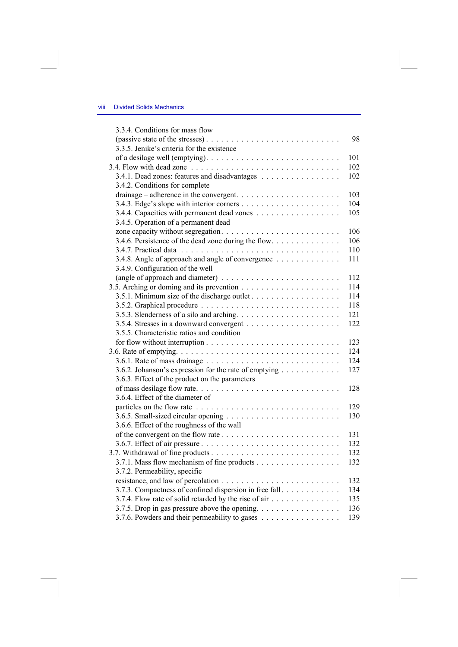| 3.3.4. Conditions for mass flow                        |     |
|--------------------------------------------------------|-----|
|                                                        | 98  |
| 3.3.5. Jenike's criteria for the existence             |     |
|                                                        | 101 |
|                                                        | 102 |
| 3.4.1. Dead zones: features and disadvantages          | 102 |
| 3.4.2. Conditions for complete                         |     |
|                                                        | 103 |
|                                                        | 104 |
|                                                        | 105 |
| 3.4.5. Operation of a permanent dead                   |     |
|                                                        | 106 |
| 3.4.6. Persistence of the dead zone during the flow    | 106 |
|                                                        | 110 |
| 3.4.8. Angle of approach and angle of convergence      | 111 |
| 3.4.9. Configuration of the well                       |     |
|                                                        | 112 |
|                                                        | 114 |
|                                                        | 114 |
|                                                        | 118 |
|                                                        | 121 |
|                                                        | 122 |
| 3.5.5. Characteristic ratios and condition             |     |
|                                                        | 123 |
|                                                        | 124 |
|                                                        | 124 |
| 3.6.2. Johanson's expression for the rate of emptying  | 127 |
| 3.6.3. Effect of the product on the parameters         |     |
| of mass desilage flow rate                             | 128 |
| 3.6.4. Effect of the diameter of                       |     |
|                                                        | 129 |
|                                                        | 130 |
| 3.6.6. Effect of the roughness of the wall             |     |
|                                                        | 131 |
|                                                        | 132 |
|                                                        | 132 |
| 3.7.1. Mass flow mechanism of fine products            | 132 |
| 3.7.2. Permeability, specific                          |     |
|                                                        | 132 |
| 3.7.3. Compactness of confined dispersion in free fall | 134 |
| 3.7.4. Flow rate of solid retarded by the rise of air  | 135 |
| 3.7.5. Drop in gas pressure above the opening.         | 136 |
| 3.7.6. Powders and their permeability to gases         | 139 |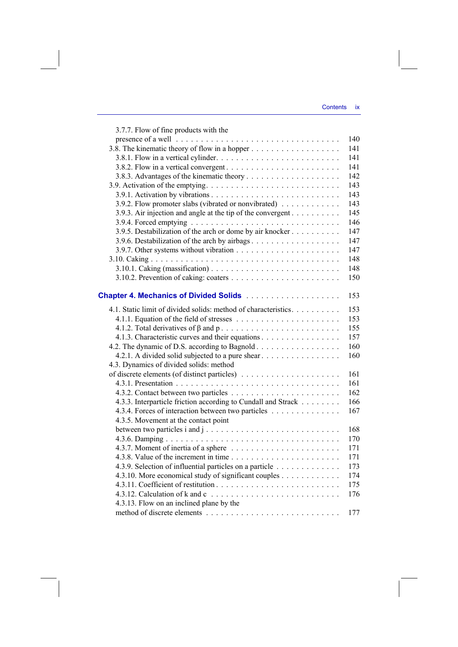| 3.7.7. Flow of fine products with the                          |     |
|----------------------------------------------------------------|-----|
|                                                                | 140 |
|                                                                | 141 |
|                                                                | 141 |
|                                                                | 141 |
|                                                                | 142 |
|                                                                | 143 |
|                                                                | 143 |
| 3.9.2. Flow promoter slabs (vibrated or nonvibrated)           | 143 |
| 3.9.3. Air injection and angle at the tip of the convergent    | 145 |
|                                                                | 146 |
| 3.9.5. Destabilization of the arch or dome by air knocker      | 147 |
|                                                                | 147 |
|                                                                | 147 |
|                                                                | 148 |
|                                                                | 148 |
|                                                                | 150 |
|                                                                | 153 |
| 4.1. Static limit of divided solids: method of characteristics | 153 |
|                                                                | 153 |
|                                                                | 155 |
| 4.1.3. Characteristic curves and their equations               | 157 |
| 4.2. The dynamic of D.S. according to Bagnold                  | 160 |
| 4.2.1. A divided solid subjected to a pure shear               | 160 |
| 4.3. Dynamics of divided solids: method                        |     |
|                                                                | 161 |
|                                                                | 161 |
|                                                                | 162 |
| 4.3.3. Interparticle friction according to Cundall and Strack  | 166 |
| 4.3.4. Forces of interaction between two particles             | 167 |
| 4.3.5. Movement at the contact point                           |     |
|                                                                | 168 |
|                                                                | 170 |
|                                                                | 171 |
|                                                                | 171 |
| 4.3.9. Selection of influential particles on a particle        | 173 |
| 4.3.10. More economical study of significant couples           | 174 |
|                                                                | 175 |
|                                                                | 176 |
| 4.3.13. Flow on an inclined plane by the                       |     |
|                                                                | 177 |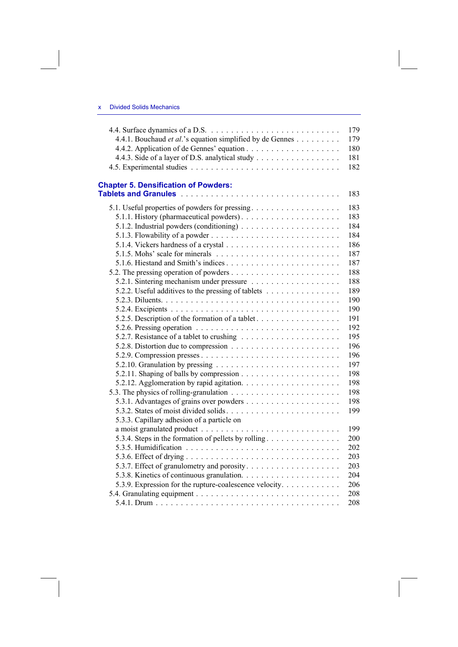## x Divided Solids Mechanics

|                                                                                     | 179               |
|-------------------------------------------------------------------------------------|-------------------|
| 4.4.1. Bouchaud et al.'s equation simplified by de Gennes                           | 179               |
|                                                                                     | 180               |
| 4.4.3. Side of a layer of D.S. analytical study                                     | 181               |
|                                                                                     | 182               |
| <b>Chapter 5. Densification of Powders:</b>                                         | 183               |
| 5.1. Useful properties of powders for pressing                                      | 183               |
|                                                                                     | 183               |
|                                                                                     | 184               |
|                                                                                     | 184               |
|                                                                                     | 186               |
| 5.1.5. Mohs' scale for minerals $\ldots \ldots \ldots \ldots \ldots \ldots \ldots$  | 187               |
|                                                                                     | 187               |
|                                                                                     | 188               |
|                                                                                     | 188               |
| 5.2.2. Useful additives to the pressing of tablets                                  | 189               |
|                                                                                     | 190               |
|                                                                                     | 190               |
| 5.2.5. Description of the formation of a tablet                                     | 191               |
| 5.2.6. Pressing operation $\ldots \ldots \ldots \ldots \ldots \ldots \ldots \ldots$ | 192               |
|                                                                                     | 195               |
|                                                                                     | 196               |
|                                                                                     | 196               |
|                                                                                     | 197               |
|                                                                                     | 198               |
|                                                                                     | 198               |
| 5.3.3. Capillary adhesion of a particle on                                          | 198<br>198<br>199 |
|                                                                                     | 199               |
| 5.3.4. Steps in the formation of pellets by rolling                                 | 200               |
|                                                                                     | 202               |
|                                                                                     | 203               |
|                                                                                     | 203               |
|                                                                                     | 204               |
| 5.3.9. Expression for the rupture-coalescence velocity                              | 206               |
|                                                                                     | 208               |
|                                                                                     | 208               |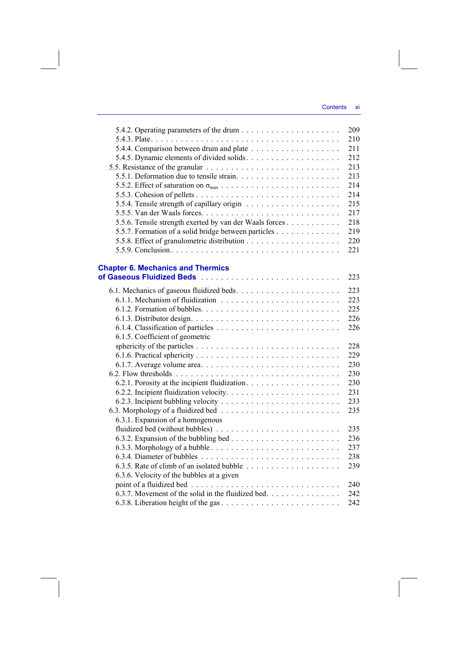|                                                         | 209 |
|---------------------------------------------------------|-----|
|                                                         | 210 |
|                                                         | 211 |
| 5.4.5. Dynamic elements of divided solids               | 212 |
|                                                         | 213 |
|                                                         | 213 |
|                                                         | 214 |
|                                                         | 214 |
|                                                         | 215 |
|                                                         | 217 |
| 5.5.6. Tensile strength exerted by van der Waals forces | 218 |
| 5.5.7. Formation of a solid bridge between particles    | 219 |
|                                                         | 220 |
|                                                         | 221 |
|                                                         |     |
| <b>Chapter 6. Mechanics and Thermics</b>                |     |
|                                                         | 223 |
|                                                         | 223 |
|                                                         | 223 |
|                                                         | 225 |
|                                                         | 226 |
|                                                         | 226 |
| 6.1.5. Coefficient of geometric                         |     |
|                                                         | 228 |
|                                                         | 229 |
|                                                         | 230 |
|                                                         | 230 |
|                                                         | 230 |
|                                                         | 231 |
|                                                         | 233 |
|                                                         | 235 |
| 6.3.1. Expansion of a homogenous                        |     |
|                                                         | 235 |
|                                                         | 236 |
|                                                         | 237 |
|                                                         | 238 |
|                                                         | 239 |
| 6.3.6. Velocity of the bubbles at a given               |     |
|                                                         | 240 |
| 6.3.7. Movement of the solid in the fluidized bed.      | 242 |
|                                                         | 242 |
|                                                         |     |